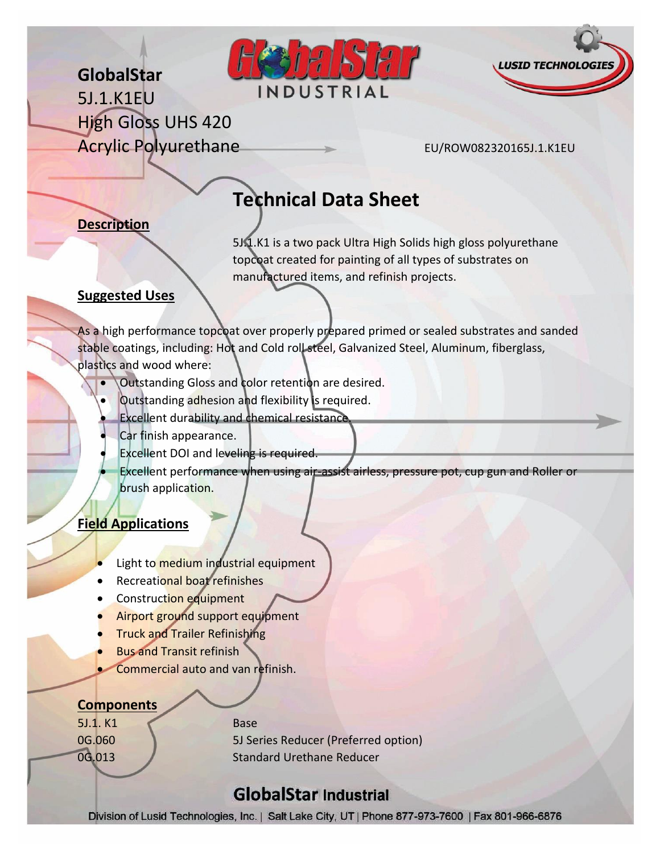



**GlobalStar** 5J.1.K1EU High Gloss UHS 420 Acrylic Polyurethane EU/ROW082320165J.1.K1EU

# **Technical Data Sheet**

### **Description**

5J.1.K1 is a two pack Ultra High Solids high gloss polyurethane topcoat created for painting of all types of substrates on manufactured items, and refinish projects.

#### **Suggested Uses**

As a high performance topcoat over properly prepared primed or sealed substrates and sanded stable coatings, including: Hot and Cold roll steel, Galvanized Steel, Aluminum, fiberglass, plastics and wood where:

- Outstanding Gloss and color retention are desired.
- Outstanding adhesion and flexibility is required.
- Excellent durability and chemical resistance.
- Car finish appearance.
- Excellent DOI and leveling is required.

 Excellent performance when using air-assist airless, pressure pot, cup gun and Roller or brush application.

## **Field Applications**

- Light to medium industrial equipment
- Recreational boat refinishes
- Construction equipment
- Airport ground support equipment
- Truck and Trailer Refinishing
- Bus and Transit refinish
- Commercial auto and van refinish.

#### **Components**

5J.1. K1 Base

0G.060 5J Series Reducer (Preferred option) 0G.013 Standard Urethane Reducer

## **GlobalStar Industrial**

Division of Lusid Technologies, Inc. | Salt Lake City, UT | Phone 877-973-7600 | Fax 801-966-6876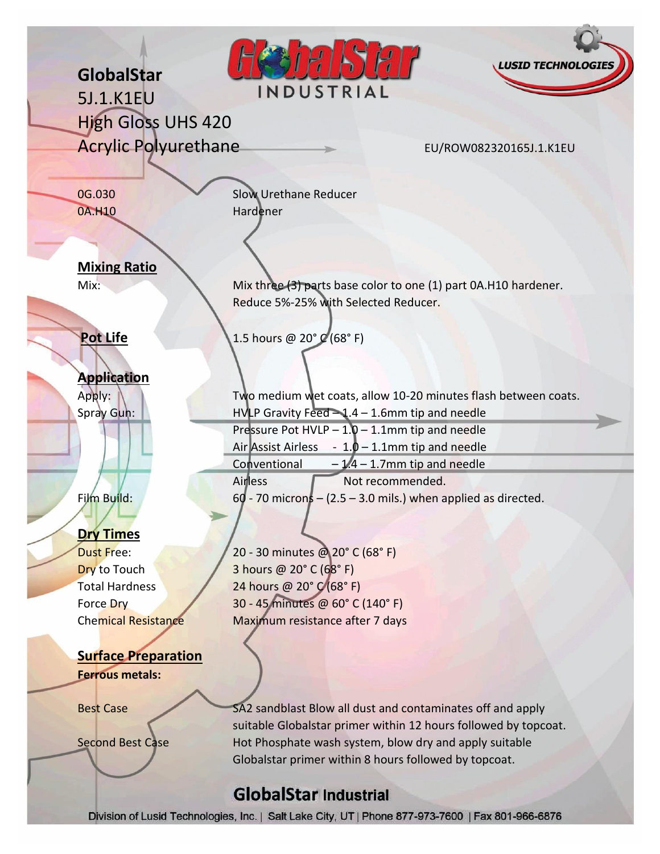|                                   |                                                            | <b>LUSID TECHNOLOGIES</b>                                                                                                 |
|-----------------------------------|------------------------------------------------------------|---------------------------------------------------------------------------------------------------------------------------|
| GlobalStar                        | INDUSTRIAL                                                 |                                                                                                                           |
| 5J.1.K1EU                         |                                                            |                                                                                                                           |
| <b>High Gloss UHS 420</b>         |                                                            |                                                                                                                           |
| <b>Acrylic Polyurethane</b>       |                                                            | EU/ROW082320165J.1.K1EU                                                                                                   |
|                                   |                                                            |                                                                                                                           |
| 0G.030                            | <b>Slow Urethane Reducer</b>                               |                                                                                                                           |
| 0A.H10                            | Hardener                                                   |                                                                                                                           |
|                                   |                                                            |                                                                                                                           |
|                                   |                                                            |                                                                                                                           |
| <b>Mixing Ratio</b>               |                                                            |                                                                                                                           |
| Mix:                              |                                                            | Mix three (3) parts base color to one (1) part 0A.H10 hardener.                                                           |
|                                   | Reduce 5%-25% with Selected Reducer.                       |                                                                                                                           |
|                                   |                                                            |                                                                                                                           |
| <b>Pot Life</b>                   | 1.5 hours @ 20° (68°F)                                     |                                                                                                                           |
|                                   |                                                            |                                                                                                                           |
| <b>Application</b>                |                                                            |                                                                                                                           |
| Apply:                            |                                                            | Two medium wet coats, allow 10-20 minutes flash between coats.                                                            |
| Spray Gun:                        | $HVIIP$ Gravity Feed $-1.4 - 1.6$ mm tip and needle        |                                                                                                                           |
|                                   | Pressure Pot HVLP $-1.0 - 1.1$ mm tip and needle           |                                                                                                                           |
|                                   | Air Assist Airless - $1.0 - 1.1$ mm tip and needle         |                                                                                                                           |
|                                   | Conventional                                               | $-1.4 - 1.7$ mm tip and needle                                                                                            |
|                                   | Airless                                                    | Not recommended.                                                                                                          |
| Film Build:                       |                                                            | $60 - 70$ microns $- (2.5 - 3.0$ mils.) when applied as directed.                                                         |
|                                   |                                                            |                                                                                                                           |
| <b>Dry Times</b>                  |                                                            |                                                                                                                           |
| <b>Dust Free:</b><br>Dry to Touch | 20 - 30 minutes @ 20° C (68° F)<br>3 hours @ 20° C (68° F) |                                                                                                                           |
| <b>Total Hardness</b>             | 24 hours @ 20° C (68° F)                                   |                                                                                                                           |
| Force Dry                         | 30 - 45 minutes @ 60° C (140° F)                           |                                                                                                                           |
| <b>Chemical Resistance</b>        | Maximum resistance after 7 days                            |                                                                                                                           |
|                                   |                                                            |                                                                                                                           |
| <b>Surface Preparation</b>        |                                                            |                                                                                                                           |
| <b>Ferrous metals:</b>            |                                                            |                                                                                                                           |
|                                   |                                                            |                                                                                                                           |
| <b>Best Case</b>                  |                                                            | SA2 sandblast Blow all dust and contaminates off and apply                                                                |
| <b>Second Best Case</b>           |                                                            | suitable Globalstar primer within 12 hours followed by topcoat.<br>Hot Phosphate wash system, blow dry and apply suitable |
|                                   | Globalstar primer within 8 hours followed by topcoat.      |                                                                                                                           |
|                                   |                                                            |                                                                                                                           |
|                                   | <b>GlobalStar Industrial</b>                               |                                                                                                                           |
|                                   |                                                            | Division of Lusid Technologies, Inc.   Salt Lake City, UT   Phone 877-973-7600   Fax 801-966-6876                         |

ain.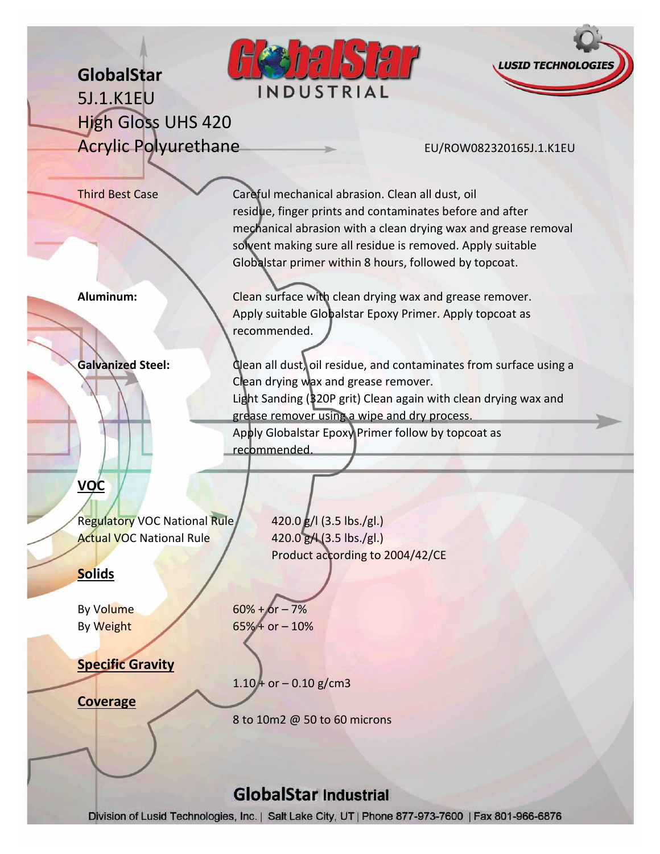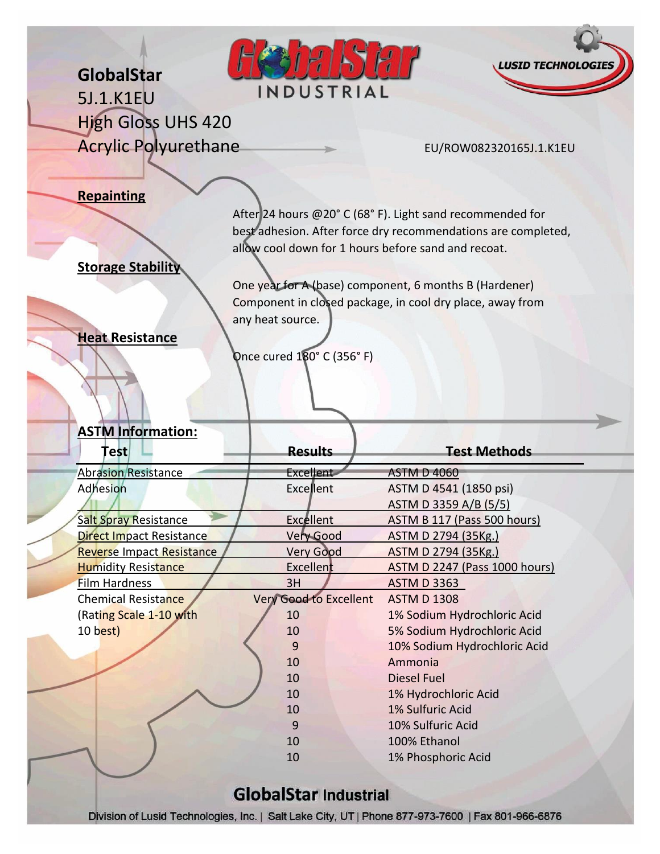**SASA LUSID TECHNOL GlobalStar** INDUSTRIAL 5J.1.K1EU High Gloss UHS 420 Acrylic Polyurethane EU/ROW082320165J.1.K1EU **Repainting** After 24 hours @20° C (68° F). Light sand recommended for best adhesion. After force dry recommendations are completed, allow cool down for 1 hours before sand and recoat. **Storage Stability** One year for A (base) component, 6 months B (Hardener) Component in closed package, in cool dry place, away from any heat source. **Heat Resistance** Once cured 180° C (356° F) **ASTM Information: Test Results Test Methods** Abrasion Resistance **Excellent** Excellent ASTM D 4060 Adhesion **Excellent** Excellent ASTM D 4541 (1850 psi) ASTM D 3359 A/B (5/5) Salt Spray Resistance **Excellent** Excellent ASTM B 117 (Pass 500 hours)<br>
Direct Impact Resistance Very Good ASTM D 2794 (35Kg.) Direct Impact Resistance Very Good ASTM D 2794 (35Kg.) Reverse Impact Resistance Very Good ASTM D 2794 (35Kg.) Humidity Resistance The Excellent ASTM D 2247 (Pass 1000 hours) Film Hardness 2H 3H ASTM D 3363 Chemical Resistance Very Good to Excellent ASTM D 1308 (Rating Scale 1-10 with 10 1% Sodium Hydrochloric Acid 10 best) 10 5% Sodium Hydrochloric Acid

## **GlobalStar Industrial**

Division of Lusid Technologies, Inc. | Salt Lake City, UT | Phone 877-973-7600 | Fax 801-966-6876

9 10% Sodium Hydrochloric Acid

 10 Ammonia 10 Diesel Fuel

 1% Hydrochloric Acid 1% Sulfuric Acid 10% Sulfuric Acid 100% Ethanol

10 1% Phosphoric Acid